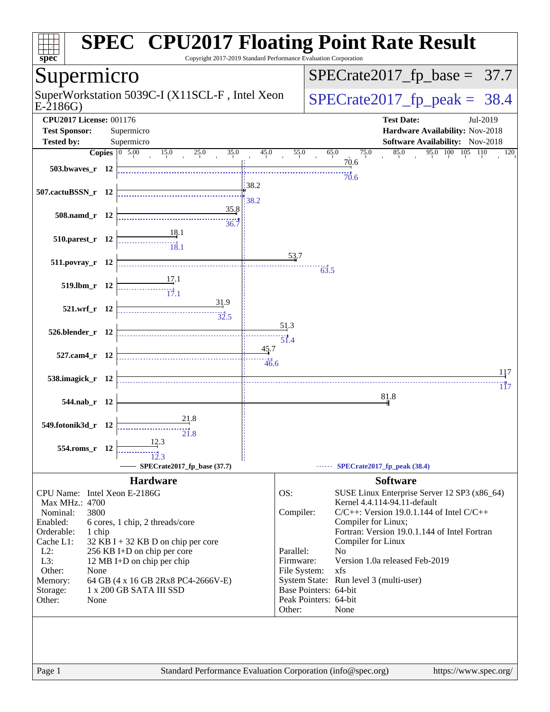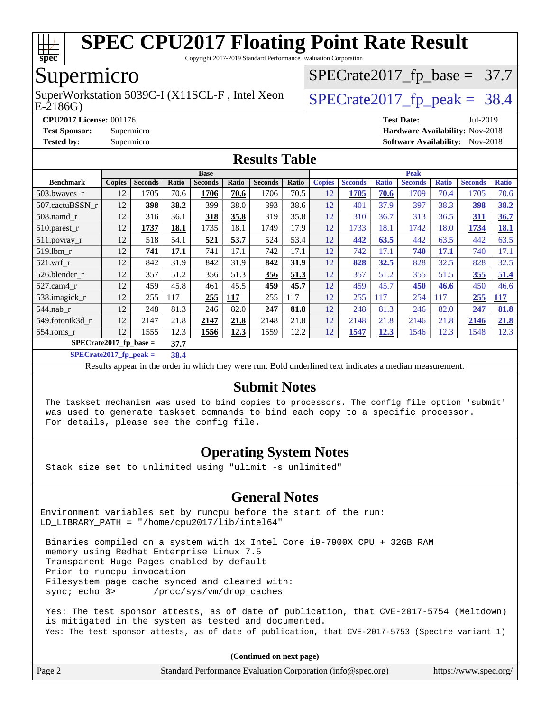

Copyright 2017-2019 Standard Performance Evaluation Corporation

## Supermicro

E-2186G) SuperWorkstation 5039C-I (X11SCL-F, Intel Xeon  $\big|$  [SPECrate2017\\_fp\\_peak =](http://www.spec.org/auto/cpu2017/Docs/result-fields.html#SPECrate2017fppeak) 38.4

 $SPECTate2017_fp\_base = 37.7$ 

**[Tested by:](http://www.spec.org/auto/cpu2017/Docs/result-fields.html#Testedby)** Supermicro **Supermicro [Software Availability:](http://www.spec.org/auto/cpu2017/Docs/result-fields.html#SoftwareAvailability)** Nov-2018

**[CPU2017 License:](http://www.spec.org/auto/cpu2017/Docs/result-fields.html#CPU2017License)** 001176 **[Test Date:](http://www.spec.org/auto/cpu2017/Docs/result-fields.html#TestDate)** Jul-2019 **[Test Sponsor:](http://www.spec.org/auto/cpu2017/Docs/result-fields.html#TestSponsor)** Supermicro **[Hardware Availability:](http://www.spec.org/auto/cpu2017/Docs/result-fields.html#HardwareAvailability)** Nov-2018

#### **[Results Table](http://www.spec.org/auto/cpu2017/Docs/result-fields.html#ResultsTable)**

|                          | <b>Base</b>   |                |       |                | <b>Peak</b> |                |       |               |                |              |                |              |                |              |
|--------------------------|---------------|----------------|-------|----------------|-------------|----------------|-------|---------------|----------------|--------------|----------------|--------------|----------------|--------------|
| <b>Benchmark</b>         | <b>Copies</b> | <b>Seconds</b> | Ratio | <b>Seconds</b> | Ratio       | <b>Seconds</b> | Ratio | <b>Copies</b> | <b>Seconds</b> | <b>Ratio</b> | <b>Seconds</b> | <b>Ratio</b> | <b>Seconds</b> | <b>Ratio</b> |
| 503.bwayes_r             | 12            | 1705           | 70.6  | 1706           | 70.6        | 1706           | 70.5  | 12            | 1705           | 70.6         | 1709           | 70.4         | 1705           | 70.6         |
| 507.cactuBSSN r          | 12            | 398            | 38.2  | 399            | 38.0        | 393            | 38.6  | 12            | 401            | 37.9         | 397            | 38.3         | 398            | 38.2         |
| 508.namd_r               | 12            | 316            | 36.1  | 318            | 35.8        | 319            | 35.8  | 12            | 310            | 36.7         | 313            | 36.5         | 311            | 36.7         |
| $510.parest_r$           | 12            | 1737           | 18.1  | 1735           | 18.1        | 1749           | 17.9  | 12            | 1733           | 18.1         | 1742           | 18.0         | 1734           | 18.1         |
| $511.$ povray_r          | 12            | 518            | 54.1  | 521            | 53.7        | 524            | 53.4  | 12            | 442            | 63.5         | 442            | 63.5         | 442            | 63.5         |
| 519.lbm r                | 12            | 741            | 17.1  | 741            | 17.1        | 742            | 17.1  | 12            | 742            | 17.1         | 740            | <u>17.1</u>  | 740            | 17.1         |
| $521$ .wrf r             | 12            | 842            | 31.9  | 842            | 31.9        | 842            | 31.9  | 12            | 828            | 32.5         | 828            | 32.5         | 828            | 32.5         |
| 526.blender r            | 12            | 357            | 51.2  | 356            | 51.3        | 356            | 51.3  | 12            | 357            | 51.2         | 355            | 51.5         | 355            | 51.4         |
| 527.cam4_r               | 12            | 459            | 45.8  | 461            | 45.5        | 459            | 45.7  | 12            | 459            | 45.7         | 450            | 46.6         | 450            | 46.6         |
| 538.imagick_r            | 12            | 255            | 117   | 255            | <b>117</b>  | 255            | 117   | 12            | 255            | 117          | 254            | 117          | 255            | <b>117</b>   |
| $544$ .nab_r             | 12            | 248            | 81.3  | 246            | 82.0        | 247            | 81.8  | 12            | 248            | 81.3         | 246            | 82.0         | 247            | 81.8         |
| 549.fotonik3d r          | 12            | 2147           | 21.8  | 2147           | 21.8        | 2148           | 21.8  | 12            | 2148           | 21.8         | 2146           | 21.8         | 2146           | 21.8         |
| $554$ .roms r            | 12            | 1555           | 12.3  | 1556           | 12.3        | 1559           | 12.2  | 12            | 1547           | <u>12.3</u>  | 1546           | 12.3         | 1548           | 12.3         |
| $SPECrate2017$ fp base = |               |                | 37.7  |                |             |                |       |               |                |              |                |              |                |              |

**[SPECrate2017\\_fp\\_peak =](http://www.spec.org/auto/cpu2017/Docs/result-fields.html#SPECrate2017fppeak) 38.4**

Results appear in the [order in which they were run.](http://www.spec.org/auto/cpu2017/Docs/result-fields.html#RunOrder) Bold underlined text [indicates a median measurement.](http://www.spec.org/auto/cpu2017/Docs/result-fields.html#Median)

#### **[Submit Notes](http://www.spec.org/auto/cpu2017/Docs/result-fields.html#SubmitNotes)**

 The taskset mechanism was used to bind copies to processors. The config file option 'submit' was used to generate taskset commands to bind each copy to a specific processor. For details, please see the config file.

#### **[Operating System Notes](http://www.spec.org/auto/cpu2017/Docs/result-fields.html#OperatingSystemNotes)**

Stack size set to unlimited using "ulimit -s unlimited"

#### **[General Notes](http://www.spec.org/auto/cpu2017/Docs/result-fields.html#GeneralNotes)**

Environment variables set by runcpu before the start of the run: LD\_LIBRARY\_PATH = "/home/cpu2017/lib/intel64"

 Binaries compiled on a system with 1x Intel Core i9-7900X CPU + 32GB RAM memory using Redhat Enterprise Linux 7.5 Transparent Huge Pages enabled by default Prior to runcpu invocation Filesystem page cache synced and cleared with: sync; echo 3> /proc/sys/vm/drop\_caches

 Yes: The test sponsor attests, as of date of publication, that CVE-2017-5754 (Meltdown) is mitigated in the system as tested and documented. Yes: The test sponsor attests, as of date of publication, that CVE-2017-5753 (Spectre variant 1)

**(Continued on next page)**

| Page 2 | Standard Performance Evaluation Corporation (info@spec.org) | https://www.spec.org/ |
|--------|-------------------------------------------------------------|-----------------------|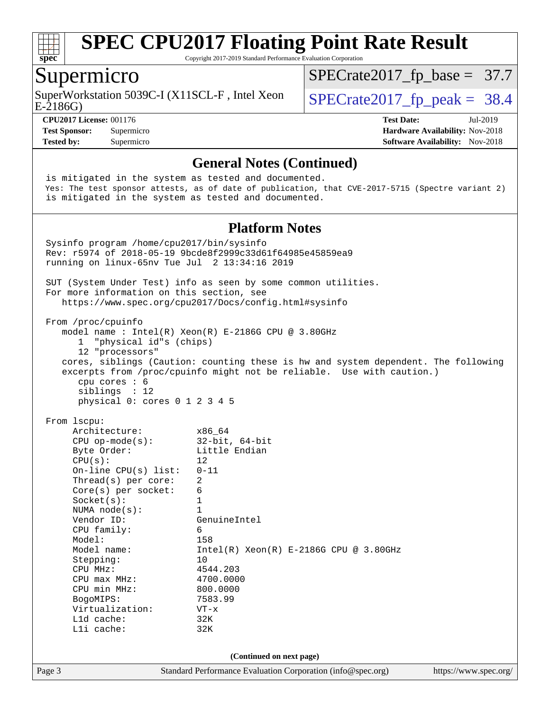

Copyright 2017-2019 Standard Performance Evaluation Corporation

#### Supermicro

E-2186G) SuperWorkstation 5039C-I (X11SCL-F, Intel Xeon  $\big|$  [SPECrate2017\\_fp\\_peak =](http://www.spec.org/auto/cpu2017/Docs/result-fields.html#SPECrate2017fppeak) 38.4

 $SPECTate2017_fp\_base = 37.7$ 

**[CPU2017 License:](http://www.spec.org/auto/cpu2017/Docs/result-fields.html#CPU2017License)** 001176 **[Test Date:](http://www.spec.org/auto/cpu2017/Docs/result-fields.html#TestDate)** Jul-2019 **[Test Sponsor:](http://www.spec.org/auto/cpu2017/Docs/result-fields.html#TestSponsor)** Supermicro **[Hardware Availability:](http://www.spec.org/auto/cpu2017/Docs/result-fields.html#HardwareAvailability)** Nov-2018 **[Tested by:](http://www.spec.org/auto/cpu2017/Docs/result-fields.html#Testedby)** Supermicro **Supermicro [Software Availability:](http://www.spec.org/auto/cpu2017/Docs/result-fields.html#SoftwareAvailability)** Nov-2018

#### **[General Notes \(Continued\)](http://www.spec.org/auto/cpu2017/Docs/result-fields.html#GeneralNotes)**

Page 3 Standard Performance Evaluation Corporation [\(info@spec.org\)](mailto:info@spec.org) <https://www.spec.org/> is mitigated in the system as tested and documented. Yes: The test sponsor attests, as of date of publication, that CVE-2017-5715 (Spectre variant 2) is mitigated in the system as tested and documented. **[Platform Notes](http://www.spec.org/auto/cpu2017/Docs/result-fields.html#PlatformNotes)** Sysinfo program /home/cpu2017/bin/sysinfo Rev: r5974 of 2018-05-19 9bcde8f2999c33d61f64985e45859ea9 running on linux-65nv Tue Jul 2 13:34:16 2019 SUT (System Under Test) info as seen by some common utilities. For more information on this section, see <https://www.spec.org/cpu2017/Docs/config.html#sysinfo> From /proc/cpuinfo model name : Intel(R) Xeon(R) E-2186G CPU @ 3.80GHz 1 "physical id"s (chips) 12 "processors" cores, siblings (Caution: counting these is hw and system dependent. The following excerpts from /proc/cpuinfo might not be reliable. Use with caution.) cpu cores : 6 siblings : 12 physical 0: cores 0 1 2 3 4 5 From lscpu: Architecture: x86\_64 CPU op-mode(s): 32-bit, 64-bit Byte Order: Little Endian  $CPU(s):$  12 On-line CPU(s) list: 0-11 Thread(s) per core: 2 Core(s) per socket: 6 Socket(s): 1 NUMA node(s): 1<br>Vendor ID: Ge GenuineIntel CPU family: 6 Model: 158 Model name: Intel(R) Xeon(R) E-2186G CPU @ 3.80GHz Stepping: 10 CPU MHz: 4544.203 CPU max MHz: 4700.0000 CPU min MHz: 800.0000 BogoMIPS: 7583.99 Virtualization: VT-x L1d cache: 32K L1i cache: 32K **(Continued on next page)**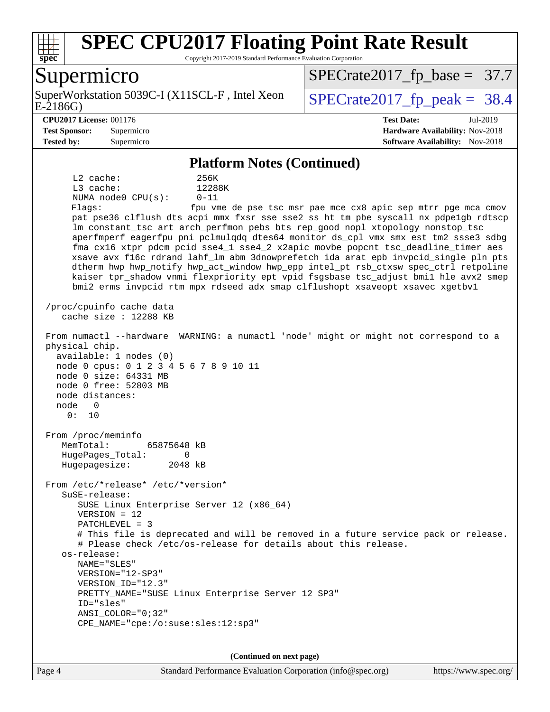

Copyright 2017-2019 Standard Performance Evaluation Corporation

#### Supermicro

E-2186G) SuperWorkstation 5039C-I (X11SCL-F, Intel Xeon  $\big|$  [SPECrate2017\\_fp\\_peak =](http://www.spec.org/auto/cpu2017/Docs/result-fields.html#SPECrate2017fppeak) 38.4

 $SPECTate2017_fp\_base = 37.7$ 

**[Tested by:](http://www.spec.org/auto/cpu2017/Docs/result-fields.html#Testedby)** Supermicro **Supermicro [Software Availability:](http://www.spec.org/auto/cpu2017/Docs/result-fields.html#SoftwareAvailability)** Nov-2018

**[CPU2017 License:](http://www.spec.org/auto/cpu2017/Docs/result-fields.html#CPU2017License)** 001176 **[Test Date:](http://www.spec.org/auto/cpu2017/Docs/result-fields.html#TestDate)** Jul-2019 **[Test Sponsor:](http://www.spec.org/auto/cpu2017/Docs/result-fields.html#TestSponsor)** Supermicro **[Hardware Availability:](http://www.spec.org/auto/cpu2017/Docs/result-fields.html#HardwareAvailability)** Nov-2018

#### **[Platform Notes \(Continued\)](http://www.spec.org/auto/cpu2017/Docs/result-fields.html#PlatformNotes)**

 L2 cache: 256K L3 cache: 12288K NUMA node0 CPU(s): 0-11 Flags: fpu vme de pse tsc msr pae mce cx8 apic sep mtrr pge mca cmov pat pse36 clflush dts acpi mmx fxsr sse sse2 ss ht tm pbe syscall nx pdpe1gb rdtscp lm constant tsc art arch perfmon pebs bts rep good nopl xtopology nonstop tsc aperfmperf eagerfpu pni pclmulqdq dtes64 monitor ds\_cpl vmx smx est tm2 ssse3 sdbg fma cx16 xtpr pdcm pcid sse4\_1 sse4\_2 x2apic movbe popcnt tsc\_deadline\_timer aes xsave avx f16c rdrand lahf\_lm abm 3dnowprefetch ida arat epb invpcid\_single pln pts dtherm hwp hwp\_notify hwp\_act\_window hwp\_epp intel\_pt rsb\_ctxsw spec\_ctrl retpoline kaiser tpr\_shadow vnmi flexpriority ept vpid fsgsbase tsc\_adjust bmi1 hle avx2 smep bmi2 erms invpcid rtm mpx rdseed adx smap clflushopt xsaveopt xsavec xgetbv1 /proc/cpuinfo cache data cache size : 12288 KB From numactl --hardware WARNING: a numactl 'node' might or might not correspond to a physical chip. available: 1 nodes (0) node 0 cpus: 0 1 2 3 4 5 6 7 8 9 10 11 node 0 size: 64331 MB node 0 free: 52803 MB node distances: node 0 0: 10 From /proc/meminfo MemTotal: 65875648 kB HugePages\_Total: 0 Hugepagesize: 2048 kB From /etc/\*release\* /etc/\*version\* SuSE-release: SUSE Linux Enterprise Server 12 (x86\_64) VERSION = 12 PATCHLEVEL = 3 # This file is deprecated and will be removed in a future service pack or release. # Please check /etc/os-release for details about this release. os-release: NAME="SLES" VERSION="12-SP3" VERSION\_ID="12.3" PRETTY\_NAME="SUSE Linux Enterprise Server 12 SP3" ID="sles" ANSI\_COLOR="0;32" CPE\_NAME="cpe:/o:suse:sles:12:sp3"

**(Continued on next page)**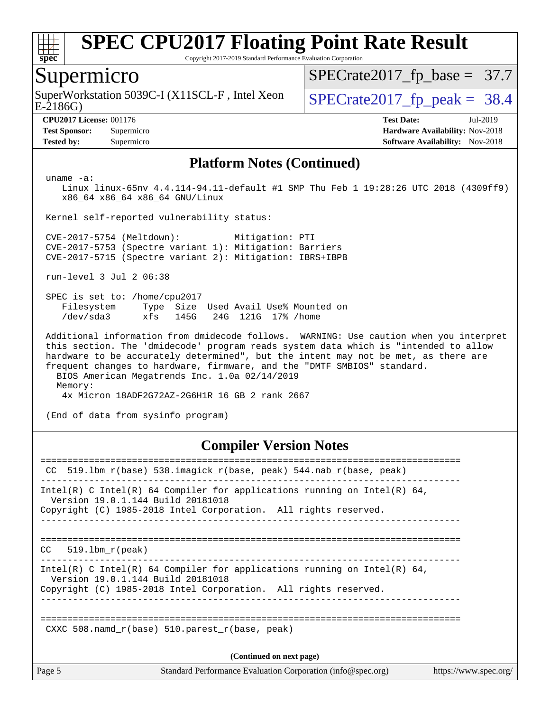

Copyright 2017-2019 Standard Performance Evaluation Corporation

## Supermicro

SuperWorkstation 5039C-I (X11SCL-F, Intel Xeon  $\big|$  [SPECrate2017\\_fp\\_peak =](http://www.spec.org/auto/cpu2017/Docs/result-fields.html#SPECrate2017fppeak) 38.4

[SPECrate2017\\_fp\\_base =](http://www.spec.org/auto/cpu2017/Docs/result-fields.html#SPECrate2017fpbase) 37.7

E-2186G)

**[CPU2017 License:](http://www.spec.org/auto/cpu2017/Docs/result-fields.html#CPU2017License)** 001176 **[Test Date:](http://www.spec.org/auto/cpu2017/Docs/result-fields.html#TestDate)** Jul-2019 **[Test Sponsor:](http://www.spec.org/auto/cpu2017/Docs/result-fields.html#TestSponsor)** Supermicro **[Hardware Availability:](http://www.spec.org/auto/cpu2017/Docs/result-fields.html#HardwareAvailability)** Nov-2018 **[Tested by:](http://www.spec.org/auto/cpu2017/Docs/result-fields.html#Testedby)** Supermicro **Supermicro [Software Availability:](http://www.spec.org/auto/cpu2017/Docs/result-fields.html#SoftwareAvailability)** Nov-2018

#### **[Platform Notes \(Continued\)](http://www.spec.org/auto/cpu2017/Docs/result-fields.html#PlatformNotes)**

uname -a:

 Linux linux-65nv 4.4.114-94.11-default #1 SMP Thu Feb 1 19:28:26 UTC 2018 (4309ff9) x86\_64 x86\_64 x86\_64 GNU/Linux

Kernel self-reported vulnerability status:

 CVE-2017-5754 (Meltdown): Mitigation: PTI CVE-2017-5753 (Spectre variant 1): Mitigation: Barriers CVE-2017-5715 (Spectre variant 2): Mitigation: IBRS+IBPB

run-level 3 Jul 2 06:38

 SPEC is set to: /home/cpu2017 Filesystem Type Size Used Avail Use% Mounted on /dev/sda3 xfs 145G 24G 121G 17% /home

 Additional information from dmidecode follows. WARNING: Use caution when you interpret this section. The 'dmidecode' program reads system data which is "intended to allow hardware to be accurately determined", but the intent may not be met, as there are frequent changes to hardware, firmware, and the "DMTF SMBIOS" standard. BIOS American Megatrends Inc. 1.0a 02/14/2019

 Memory: 4x Micron 18ADF2G72AZ-2G6H1R 16 GB 2 rank 2667

(End of data from sysinfo program)

#### **[Compiler Version Notes](http://www.spec.org/auto/cpu2017/Docs/result-fields.html#CompilerVersionNotes)**

| CC.    | 519.1bm r(base) 538.imagick r(base, peak) 544.nab r(base, peak)                                                                                                                  |                       |
|--------|----------------------------------------------------------------------------------------------------------------------------------------------------------------------------------|-----------------------|
|        | Intel(R) C Intel(R) 64 Compiler for applications running on Intel(R) 64,<br>Version 19.0.1.144 Build 20181018<br>Copyright (C) 1985-2018 Intel Corporation. All rights reserved. |                       |
| CC     | 519.1bm r(peak)                                                                                                                                                                  |                       |
|        | Intel(R) C Intel(R) 64 Compiler for applications running on Intel(R) 64,<br>Version 19.0.1.144 Build 20181018<br>Copyright (C) 1985-2018 Intel Corporation. All rights reserved. |                       |
|        | CXXC 508. namd $r(base)$ 510. parest $r(base, peak)$                                                                                                                             |                       |
|        | (Continued on next page)                                                                                                                                                         |                       |
| Page 5 | Standard Performance Evaluation Corporation (info@spec.org)                                                                                                                      | https://www.spec.org/ |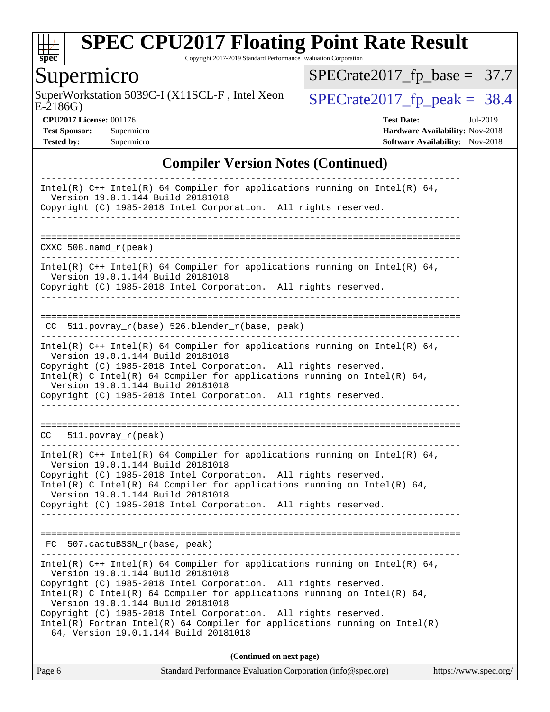

Copyright 2017-2019 Standard Performance Evaluation Corporation

Supermicro<br>SuperWorkstation 5039C-I (X11SCL-F, Intel Xeon E-2186G)

 $SPECTate2017_f p\_peak = 38.4$ [SPECrate2017\\_fp\\_base =](http://www.spec.org/auto/cpu2017/Docs/result-fields.html#SPECrate2017fpbase) 37.7

**[CPU2017 License:](http://www.spec.org/auto/cpu2017/Docs/result-fields.html#CPU2017License)** 001176 **[Test Date:](http://www.spec.org/auto/cpu2017/Docs/result-fields.html#TestDate)** Jul-2019 **[Test Sponsor:](http://www.spec.org/auto/cpu2017/Docs/result-fields.html#TestSponsor)** Supermicro **[Hardware Availability:](http://www.spec.org/auto/cpu2017/Docs/result-fields.html#HardwareAvailability)** Nov-2018

#### **[Compiler Version Notes \(Continued\)](http://www.spec.org/auto/cpu2017/Docs/result-fields.html#CompilerVersionNotes)**

**[Tested by:](http://www.spec.org/auto/cpu2017/Docs/result-fields.html#Testedby)** Supermicro **Supermicro [Software Availability:](http://www.spec.org/auto/cpu2017/Docs/result-fields.html#SoftwareAvailability)** Nov-2018

| Intel(R) $C++$ Intel(R) 64 Compiler for applications running on Intel(R) 64,                                                                                                                                                                                     |
|------------------------------------------------------------------------------------------------------------------------------------------------------------------------------------------------------------------------------------------------------------------|
| Version 19.0.1.144 Build 20181018<br>Copyright (C) 1985-2018 Intel Corporation. All rights reserved.                                                                                                                                                             |
|                                                                                                                                                                                                                                                                  |
| $CXXC 508.namd_r (peak)$                                                                                                                                                                                                                                         |
| Intel(R) $C++$ Intel(R) 64 Compiler for applications running on Intel(R) 64,<br>Version 19.0.1.144 Build 20181018<br>Copyright (C) 1985-2018 Intel Corporation. All rights reserved.                                                                             |
|                                                                                                                                                                                                                                                                  |
| CC 511.povray_r(base) 526.blender_r(base, peak)<br>. _ _ _ _ _ _ _ _ _ _ _ _ _ _ _ _ _                                                                                                                                                                           |
| Intel(R) $C++$ Intel(R) 64 Compiler for applications running on Intel(R) 64,<br>Version 19.0.1.144 Build 20181018<br>Copyright (C) 1985-2018 Intel Corporation. All rights reserved.<br>Intel(R) C Intel(R) 64 Compiler for applications running on Intel(R) 64, |
| Version 19.0.1.144 Build 20181018<br>Copyright (C) 1985-2018 Intel Corporation. All rights reserved.                                                                                                                                                             |
|                                                                                                                                                                                                                                                                  |
| $CC = 511. povray_r (peak)$                                                                                                                                                                                                                                      |
| Intel(R) $C++$ Intel(R) 64 Compiler for applications running on Intel(R) 64,<br>Version 19.0.1.144 Build 20181018                                                                                                                                                |
| Copyright (C) 1985-2018 Intel Corporation. All rights reserved.<br>Intel(R) C Intel(R) 64 Compiler for applications running on Intel(R) 64,                                                                                                                      |
| Version 19.0.1.144 Build 20181018<br>Copyright (C) 1985-2018 Intel Corporation. All rights reserved.                                                                                                                                                             |
|                                                                                                                                                                                                                                                                  |
| FC 507.cactuBSSN_r(base, peak)<br>___________________________________                                                                                                                                                                                            |
| Intel(R) $C++$ Intel(R) 64 Compiler for applications running on Intel(R) 64,<br>Version 19.0.1.144 Build 20181018                                                                                                                                                |
| Copyright (C) 1985-2018 Intel Corporation. All rights reserved.<br>Intel(R) C Intel(R) 64 Compiler for applications running on Intel(R) 64,<br>Version 19.0.1.144 Build 20181018                                                                                 |
| Copyright (C) 1985-2018 Intel Corporation. All rights reserved.<br>$Intel(R)$ Fortran Intel(R) 64 Compiler for applications running on Intel(R)<br>64, Version 19.0.1.144 Build 20181018                                                                         |
| (Continued on next page)                                                                                                                                                                                                                                         |

| Page 6 | Standard Performance Evaluation Corporation (info@spec.org) | https://www.spec.org/ |
|--------|-------------------------------------------------------------|-----------------------|
|--------|-------------------------------------------------------------|-----------------------|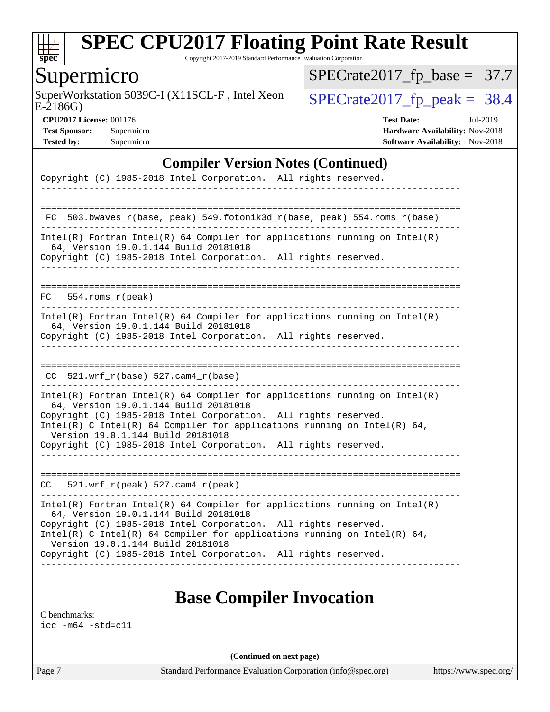

Copyright 2017-2019 Standard Performance Evaluation Corporation

## Supermicro

SuperWorkstation 5039C-I (X11SCL-F, Intel Xeon  $\sqrt{\text{SPECrate2017\_fp\_peak}} = 38.4$ 

[SPECrate2017\\_fp\\_base =](http://www.spec.org/auto/cpu2017/Docs/result-fields.html#SPECrate2017fpbase) 37.7

E-2186G)

**[CPU2017 License:](http://www.spec.org/auto/cpu2017/Docs/result-fields.html#CPU2017License)** 001176 **[Test Date:](http://www.spec.org/auto/cpu2017/Docs/result-fields.html#TestDate)** Jul-2019 **[Test Sponsor:](http://www.spec.org/auto/cpu2017/Docs/result-fields.html#TestSponsor)** Supermicro **[Hardware Availability:](http://www.spec.org/auto/cpu2017/Docs/result-fields.html#HardwareAvailability)** Nov-2018 **[Tested by:](http://www.spec.org/auto/cpu2017/Docs/result-fields.html#Testedby)** Supermicro **Supermicro [Software Availability:](http://www.spec.org/auto/cpu2017/Docs/result-fields.html#SoftwareAvailability)** Nov-2018

#### **[Compiler Version Notes \(Continued\)](http://www.spec.org/auto/cpu2017/Docs/result-fields.html#CompilerVersionNotes)**

| Copyright (C) 1985-2018 Intel Corporation. All rights reserved.                                                                                                                                                                                                                                                                                                              |
|------------------------------------------------------------------------------------------------------------------------------------------------------------------------------------------------------------------------------------------------------------------------------------------------------------------------------------------------------------------------------|
|                                                                                                                                                                                                                                                                                                                                                                              |
| 503.bwaves_r(base, peak) 549.fotonik3d_r(base, peak) 554.roms_r(base)<br>FC.                                                                                                                                                                                                                                                                                                 |
| $Intel(R)$ Fortran Intel(R) 64 Compiler for applications running on Intel(R)<br>64, Version 19.0.1.144 Build 20181018<br>Copyright (C) 1985-2018 Intel Corporation. All rights reserved.                                                                                                                                                                                     |
| FC<br>554.roms r(peak)                                                                                                                                                                                                                                                                                                                                                       |
| $Intel(R)$ Fortran Intel(R) 64 Compiler for applications running on Intel(R)<br>64, Version 19.0.1.144 Build 20181018<br>Copyright (C) 1985-2018 Intel Corporation. All rights reserved.                                                                                                                                                                                     |
| 521.wrf_r(base) 527.cam4_r(base)<br>CC.                                                                                                                                                                                                                                                                                                                                      |
| $Intel(R)$ Fortran Intel(R) 64 Compiler for applications running on Intel(R)<br>64, Version 19.0.1.144 Build 20181018<br>Copyright (C) 1985-2018 Intel Corporation. All rights reserved.<br>Intel(R) C Intel(R) 64 Compiler for applications running on Intel(R) 64,<br>Version 19.0.1.144 Build 20181018<br>Copyright (C) 1985-2018 Intel Corporation. All rights reserved. |
| $521.wrf_r(peak) 527.cam4_r(peak)$<br>CC.                                                                                                                                                                                                                                                                                                                                    |
| $Intel(R)$ Fortran Intel(R) 64 Compiler for applications running on Intel(R)<br>64, Version 19.0.1.144 Build 20181018<br>Copyright (C) 1985-2018 Intel Corporation. All rights reserved.<br>Intel(R) C Intel(R) 64 Compiler for applications running on Intel(R) 64,<br>Version 19.0.1.144 Build 20181018<br>Copyright (C) 1985-2018 Intel Corporation. All rights reserved. |

## **[Base Compiler Invocation](http://www.spec.org/auto/cpu2017/Docs/result-fields.html#BaseCompilerInvocation)**

[C benchmarks](http://www.spec.org/auto/cpu2017/Docs/result-fields.html#Cbenchmarks):

[icc -m64 -std=c11](http://www.spec.org/cpu2017/results/res2019q3/cpu2017-20190709-16208.flags.html#user_CCbase_intel_icc_64bit_c11_33ee0cdaae7deeeab2a9725423ba97205ce30f63b9926c2519791662299b76a0318f32ddfffdc46587804de3178b4f9328c46fa7c2b0cd779d7a61945c91cd35)

**(Continued on next page)**

Page 7 Standard Performance Evaluation Corporation [\(info@spec.org\)](mailto:info@spec.org) <https://www.spec.org/>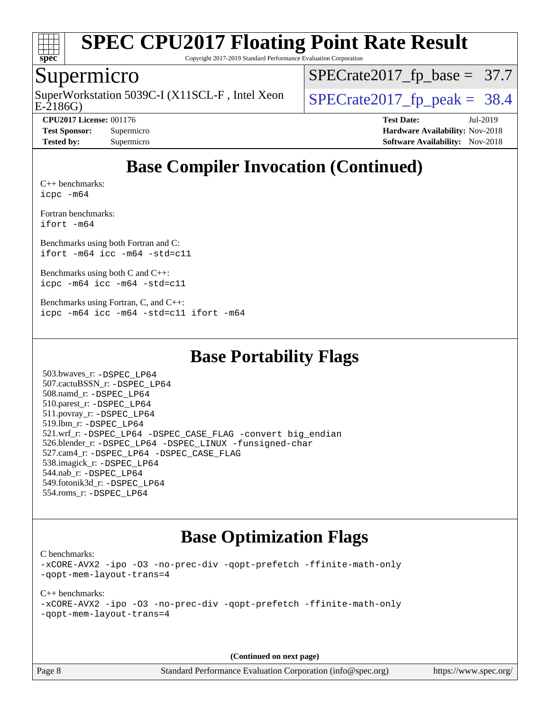

Copyright 2017-2019 Standard Performance Evaluation Corporation

## Supermicro

E-2186G) SuperWorkstation 5039C-I (X11SCL-F, Intel Xeon  $\big|$  [SPECrate2017\\_fp\\_peak =](http://www.spec.org/auto/cpu2017/Docs/result-fields.html#SPECrate2017fppeak) 38.4

[SPECrate2017\\_fp\\_base =](http://www.spec.org/auto/cpu2017/Docs/result-fields.html#SPECrate2017fpbase) 37.7

**[CPU2017 License:](http://www.spec.org/auto/cpu2017/Docs/result-fields.html#CPU2017License)** 001176 **[Test Date:](http://www.spec.org/auto/cpu2017/Docs/result-fields.html#TestDate)** Jul-2019 **[Test Sponsor:](http://www.spec.org/auto/cpu2017/Docs/result-fields.html#TestSponsor)** Supermicro **[Hardware Availability:](http://www.spec.org/auto/cpu2017/Docs/result-fields.html#HardwareAvailability)** Nov-2018 **[Tested by:](http://www.spec.org/auto/cpu2017/Docs/result-fields.html#Testedby)** Supermicro **[Software Availability:](http://www.spec.org/auto/cpu2017/Docs/result-fields.html#SoftwareAvailability)** Nov-2018

## **[Base Compiler Invocation \(Continued\)](http://www.spec.org/auto/cpu2017/Docs/result-fields.html#BaseCompilerInvocation)**

[C++ benchmarks:](http://www.spec.org/auto/cpu2017/Docs/result-fields.html#CXXbenchmarks) [icpc -m64](http://www.spec.org/cpu2017/results/res2019q3/cpu2017-20190709-16208.flags.html#user_CXXbase_intel_icpc_64bit_4ecb2543ae3f1412ef961e0650ca070fec7b7afdcd6ed48761b84423119d1bf6bdf5cad15b44d48e7256388bc77273b966e5eb805aefd121eb22e9299b2ec9d9)

[Fortran benchmarks](http://www.spec.org/auto/cpu2017/Docs/result-fields.html#Fortranbenchmarks): [ifort -m64](http://www.spec.org/cpu2017/results/res2019q3/cpu2017-20190709-16208.flags.html#user_FCbase_intel_ifort_64bit_24f2bb282fbaeffd6157abe4f878425411749daecae9a33200eee2bee2fe76f3b89351d69a8130dd5949958ce389cf37ff59a95e7a40d588e8d3a57e0c3fd751)

[Benchmarks using both Fortran and C](http://www.spec.org/auto/cpu2017/Docs/result-fields.html#BenchmarksusingbothFortranandC): [ifort -m64](http://www.spec.org/cpu2017/results/res2019q3/cpu2017-20190709-16208.flags.html#user_CC_FCbase_intel_ifort_64bit_24f2bb282fbaeffd6157abe4f878425411749daecae9a33200eee2bee2fe76f3b89351d69a8130dd5949958ce389cf37ff59a95e7a40d588e8d3a57e0c3fd751) [icc -m64 -std=c11](http://www.spec.org/cpu2017/results/res2019q3/cpu2017-20190709-16208.flags.html#user_CC_FCbase_intel_icc_64bit_c11_33ee0cdaae7deeeab2a9725423ba97205ce30f63b9926c2519791662299b76a0318f32ddfffdc46587804de3178b4f9328c46fa7c2b0cd779d7a61945c91cd35)

[Benchmarks using both C and C++](http://www.spec.org/auto/cpu2017/Docs/result-fields.html#BenchmarksusingbothCandCXX): [icpc -m64](http://www.spec.org/cpu2017/results/res2019q3/cpu2017-20190709-16208.flags.html#user_CC_CXXbase_intel_icpc_64bit_4ecb2543ae3f1412ef961e0650ca070fec7b7afdcd6ed48761b84423119d1bf6bdf5cad15b44d48e7256388bc77273b966e5eb805aefd121eb22e9299b2ec9d9) [icc -m64 -std=c11](http://www.spec.org/cpu2017/results/res2019q3/cpu2017-20190709-16208.flags.html#user_CC_CXXbase_intel_icc_64bit_c11_33ee0cdaae7deeeab2a9725423ba97205ce30f63b9926c2519791662299b76a0318f32ddfffdc46587804de3178b4f9328c46fa7c2b0cd779d7a61945c91cd35)

[Benchmarks using Fortran, C, and C++:](http://www.spec.org/auto/cpu2017/Docs/result-fields.html#BenchmarksusingFortranCandCXX) [icpc -m64](http://www.spec.org/cpu2017/results/res2019q3/cpu2017-20190709-16208.flags.html#user_CC_CXX_FCbase_intel_icpc_64bit_4ecb2543ae3f1412ef961e0650ca070fec7b7afdcd6ed48761b84423119d1bf6bdf5cad15b44d48e7256388bc77273b966e5eb805aefd121eb22e9299b2ec9d9) [icc -m64 -std=c11](http://www.spec.org/cpu2017/results/res2019q3/cpu2017-20190709-16208.flags.html#user_CC_CXX_FCbase_intel_icc_64bit_c11_33ee0cdaae7deeeab2a9725423ba97205ce30f63b9926c2519791662299b76a0318f32ddfffdc46587804de3178b4f9328c46fa7c2b0cd779d7a61945c91cd35) [ifort -m64](http://www.spec.org/cpu2017/results/res2019q3/cpu2017-20190709-16208.flags.html#user_CC_CXX_FCbase_intel_ifort_64bit_24f2bb282fbaeffd6157abe4f878425411749daecae9a33200eee2bee2fe76f3b89351d69a8130dd5949958ce389cf37ff59a95e7a40d588e8d3a57e0c3fd751)

#### **[Base Portability Flags](http://www.spec.org/auto/cpu2017/Docs/result-fields.html#BasePortabilityFlags)**

 503.bwaves\_r: [-DSPEC\\_LP64](http://www.spec.org/cpu2017/results/res2019q3/cpu2017-20190709-16208.flags.html#suite_basePORTABILITY503_bwaves_r_DSPEC_LP64) 507.cactuBSSN\_r: [-DSPEC\\_LP64](http://www.spec.org/cpu2017/results/res2019q3/cpu2017-20190709-16208.flags.html#suite_basePORTABILITY507_cactuBSSN_r_DSPEC_LP64) 508.namd\_r: [-DSPEC\\_LP64](http://www.spec.org/cpu2017/results/res2019q3/cpu2017-20190709-16208.flags.html#suite_basePORTABILITY508_namd_r_DSPEC_LP64) 510.parest\_r: [-DSPEC\\_LP64](http://www.spec.org/cpu2017/results/res2019q3/cpu2017-20190709-16208.flags.html#suite_basePORTABILITY510_parest_r_DSPEC_LP64) 511.povray\_r: [-DSPEC\\_LP64](http://www.spec.org/cpu2017/results/res2019q3/cpu2017-20190709-16208.flags.html#suite_basePORTABILITY511_povray_r_DSPEC_LP64) 519.lbm\_r: [-DSPEC\\_LP64](http://www.spec.org/cpu2017/results/res2019q3/cpu2017-20190709-16208.flags.html#suite_basePORTABILITY519_lbm_r_DSPEC_LP64) 521.wrf\_r: [-DSPEC\\_LP64](http://www.spec.org/cpu2017/results/res2019q3/cpu2017-20190709-16208.flags.html#suite_basePORTABILITY521_wrf_r_DSPEC_LP64) [-DSPEC\\_CASE\\_FLAG](http://www.spec.org/cpu2017/results/res2019q3/cpu2017-20190709-16208.flags.html#b521.wrf_r_baseCPORTABILITY_DSPEC_CASE_FLAG) [-convert big\\_endian](http://www.spec.org/cpu2017/results/res2019q3/cpu2017-20190709-16208.flags.html#user_baseFPORTABILITY521_wrf_r_convert_big_endian_c3194028bc08c63ac5d04de18c48ce6d347e4e562e8892b8bdbdc0214820426deb8554edfa529a3fb25a586e65a3d812c835984020483e7e73212c4d31a38223) 526.blender\_r: [-DSPEC\\_LP64](http://www.spec.org/cpu2017/results/res2019q3/cpu2017-20190709-16208.flags.html#suite_basePORTABILITY526_blender_r_DSPEC_LP64) [-DSPEC\\_LINUX](http://www.spec.org/cpu2017/results/res2019q3/cpu2017-20190709-16208.flags.html#b526.blender_r_baseCPORTABILITY_DSPEC_LINUX) [-funsigned-char](http://www.spec.org/cpu2017/results/res2019q3/cpu2017-20190709-16208.flags.html#user_baseCPORTABILITY526_blender_r_force_uchar_40c60f00ab013830e2dd6774aeded3ff59883ba5a1fc5fc14077f794d777847726e2a5858cbc7672e36e1b067e7e5c1d9a74f7176df07886a243d7cc18edfe67) 527.cam4\_r: [-DSPEC\\_LP64](http://www.spec.org/cpu2017/results/res2019q3/cpu2017-20190709-16208.flags.html#suite_basePORTABILITY527_cam4_r_DSPEC_LP64) [-DSPEC\\_CASE\\_FLAG](http://www.spec.org/cpu2017/results/res2019q3/cpu2017-20190709-16208.flags.html#b527.cam4_r_baseCPORTABILITY_DSPEC_CASE_FLAG) 538.imagick\_r: [-DSPEC\\_LP64](http://www.spec.org/cpu2017/results/res2019q3/cpu2017-20190709-16208.flags.html#suite_basePORTABILITY538_imagick_r_DSPEC_LP64) 544.nab\_r: [-DSPEC\\_LP64](http://www.spec.org/cpu2017/results/res2019q3/cpu2017-20190709-16208.flags.html#suite_basePORTABILITY544_nab_r_DSPEC_LP64) 549.fotonik3d\_r: [-DSPEC\\_LP64](http://www.spec.org/cpu2017/results/res2019q3/cpu2017-20190709-16208.flags.html#suite_basePORTABILITY549_fotonik3d_r_DSPEC_LP64) 554.roms\_r: [-DSPEC\\_LP64](http://www.spec.org/cpu2017/results/res2019q3/cpu2017-20190709-16208.flags.html#suite_basePORTABILITY554_roms_r_DSPEC_LP64)

### **[Base Optimization Flags](http://www.spec.org/auto/cpu2017/Docs/result-fields.html#BaseOptimizationFlags)**

[C benchmarks](http://www.spec.org/auto/cpu2017/Docs/result-fields.html#Cbenchmarks):

[-xCORE-AVX2](http://www.spec.org/cpu2017/results/res2019q3/cpu2017-20190709-16208.flags.html#user_CCbase_f-xCORE-AVX2) [-ipo](http://www.spec.org/cpu2017/results/res2019q3/cpu2017-20190709-16208.flags.html#user_CCbase_f-ipo) [-O3](http://www.spec.org/cpu2017/results/res2019q3/cpu2017-20190709-16208.flags.html#user_CCbase_f-O3) [-no-prec-div](http://www.spec.org/cpu2017/results/res2019q3/cpu2017-20190709-16208.flags.html#user_CCbase_f-no-prec-div) [-qopt-prefetch](http://www.spec.org/cpu2017/results/res2019q3/cpu2017-20190709-16208.flags.html#user_CCbase_f-qopt-prefetch) [-ffinite-math-only](http://www.spec.org/cpu2017/results/res2019q3/cpu2017-20190709-16208.flags.html#user_CCbase_f_finite_math_only_cb91587bd2077682c4b38af759c288ed7c732db004271a9512da14a4f8007909a5f1427ecbf1a0fb78ff2a814402c6114ac565ca162485bbcae155b5e4258871) [-qopt-mem-layout-trans=4](http://www.spec.org/cpu2017/results/res2019q3/cpu2017-20190709-16208.flags.html#user_CCbase_f-qopt-mem-layout-trans_fa39e755916c150a61361b7846f310bcdf6f04e385ef281cadf3647acec3f0ae266d1a1d22d972a7087a248fd4e6ca390a3634700869573d231a252c784941a8)

[C++ benchmarks:](http://www.spec.org/auto/cpu2017/Docs/result-fields.html#CXXbenchmarks) [-xCORE-AVX2](http://www.spec.org/cpu2017/results/res2019q3/cpu2017-20190709-16208.flags.html#user_CXXbase_f-xCORE-AVX2) [-ipo](http://www.spec.org/cpu2017/results/res2019q3/cpu2017-20190709-16208.flags.html#user_CXXbase_f-ipo) [-O3](http://www.spec.org/cpu2017/results/res2019q3/cpu2017-20190709-16208.flags.html#user_CXXbase_f-O3) [-no-prec-div](http://www.spec.org/cpu2017/results/res2019q3/cpu2017-20190709-16208.flags.html#user_CXXbase_f-no-prec-div) [-qopt-prefetch](http://www.spec.org/cpu2017/results/res2019q3/cpu2017-20190709-16208.flags.html#user_CXXbase_f-qopt-prefetch) [-ffinite-math-only](http://www.spec.org/cpu2017/results/res2019q3/cpu2017-20190709-16208.flags.html#user_CXXbase_f_finite_math_only_cb91587bd2077682c4b38af759c288ed7c732db004271a9512da14a4f8007909a5f1427ecbf1a0fb78ff2a814402c6114ac565ca162485bbcae155b5e4258871) [-qopt-mem-layout-trans=4](http://www.spec.org/cpu2017/results/res2019q3/cpu2017-20190709-16208.flags.html#user_CXXbase_f-qopt-mem-layout-trans_fa39e755916c150a61361b7846f310bcdf6f04e385ef281cadf3647acec3f0ae266d1a1d22d972a7087a248fd4e6ca390a3634700869573d231a252c784941a8)

**(Continued on next page)**

Page 8 Standard Performance Evaluation Corporation [\(info@spec.org\)](mailto:info@spec.org) <https://www.spec.org/>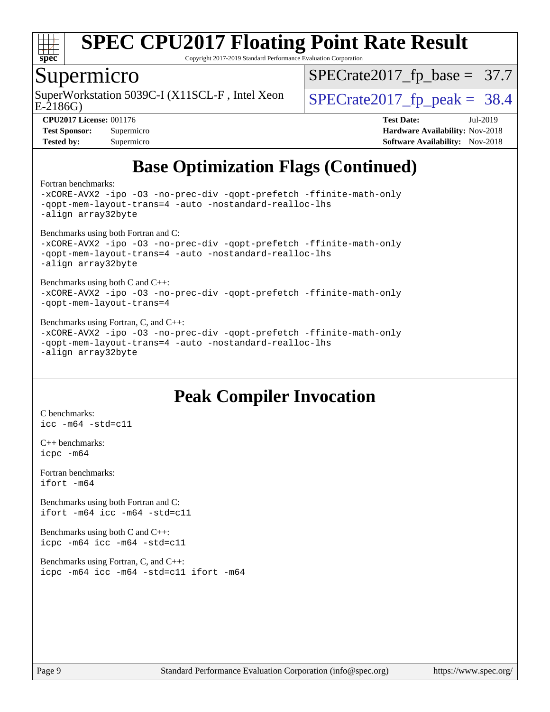

Copyright 2017-2019 Standard Performance Evaluation Corporation

#### Supermicro

SuperWorkstation 5039C-I (X11SCL-F, Intel Xeon  $\big|$  [SPECrate2017\\_fp\\_peak =](http://www.spec.org/auto/cpu2017/Docs/result-fields.html#SPECrate2017fppeak) 38.4

 $SPECTate2017_fp\_base = 37.7$ 

E-2186G)

**[CPU2017 License:](http://www.spec.org/auto/cpu2017/Docs/result-fields.html#CPU2017License)** 001176 **[Test Date:](http://www.spec.org/auto/cpu2017/Docs/result-fields.html#TestDate)** Jul-2019 **[Test Sponsor:](http://www.spec.org/auto/cpu2017/Docs/result-fields.html#TestSponsor)** Supermicro **[Hardware Availability:](http://www.spec.org/auto/cpu2017/Docs/result-fields.html#HardwareAvailability)** Nov-2018 **[Tested by:](http://www.spec.org/auto/cpu2017/Docs/result-fields.html#Testedby)** Supermicro **Supermicro [Software Availability:](http://www.spec.org/auto/cpu2017/Docs/result-fields.html#SoftwareAvailability)** Nov-2018

## **[Base Optimization Flags \(Continued\)](http://www.spec.org/auto/cpu2017/Docs/result-fields.html#BaseOptimizationFlags)**

[Fortran benchmarks](http://www.spec.org/auto/cpu2017/Docs/result-fields.html#Fortranbenchmarks):

```
-xCORE-AVX2 -ipo -O3 -no-prec-div -qopt-prefetch -ffinite-math-only
-qopt-mem-layout-trans=4 -auto -nostandard-realloc-lhs
-align array32byte
Benchmarks using both Fortran and C: 
-xCORE-AVX2 -ipo -O3 -no-prec-div -qopt-prefetch -ffinite-math-only
-qopt-mem-layout-trans=4 -auto -nostandard-realloc-lhs
-align array32byte
Benchmarks using both C and C++: 
-xCORE-AVX2 -ipo -O3 -no-prec-div -qopt-prefetch -ffinite-math-only
-qopt-mem-layout-trans=4
Benchmarks using Fortran, C, and C++: 
-xCORE-AVX2 -ipo -O3 -no-prec-div -qopt-prefetch -ffinite-math-only
-qopt-mem-layout-trans=4 -auto -nostandard-realloc-lhs
-align array32byte
```
## **[Peak Compiler Invocation](http://www.spec.org/auto/cpu2017/Docs/result-fields.html#PeakCompilerInvocation)**

[C benchmarks](http://www.spec.org/auto/cpu2017/Docs/result-fields.html#Cbenchmarks): [icc -m64 -std=c11](http://www.spec.org/cpu2017/results/res2019q3/cpu2017-20190709-16208.flags.html#user_CCpeak_intel_icc_64bit_c11_33ee0cdaae7deeeab2a9725423ba97205ce30f63b9926c2519791662299b76a0318f32ddfffdc46587804de3178b4f9328c46fa7c2b0cd779d7a61945c91cd35)

[C++ benchmarks:](http://www.spec.org/auto/cpu2017/Docs/result-fields.html#CXXbenchmarks) [icpc -m64](http://www.spec.org/cpu2017/results/res2019q3/cpu2017-20190709-16208.flags.html#user_CXXpeak_intel_icpc_64bit_4ecb2543ae3f1412ef961e0650ca070fec7b7afdcd6ed48761b84423119d1bf6bdf5cad15b44d48e7256388bc77273b966e5eb805aefd121eb22e9299b2ec9d9)

[Fortran benchmarks](http://www.spec.org/auto/cpu2017/Docs/result-fields.html#Fortranbenchmarks): [ifort -m64](http://www.spec.org/cpu2017/results/res2019q3/cpu2017-20190709-16208.flags.html#user_FCpeak_intel_ifort_64bit_24f2bb282fbaeffd6157abe4f878425411749daecae9a33200eee2bee2fe76f3b89351d69a8130dd5949958ce389cf37ff59a95e7a40d588e8d3a57e0c3fd751)

[Benchmarks using both Fortran and C](http://www.spec.org/auto/cpu2017/Docs/result-fields.html#BenchmarksusingbothFortranandC): [ifort -m64](http://www.spec.org/cpu2017/results/res2019q3/cpu2017-20190709-16208.flags.html#user_CC_FCpeak_intel_ifort_64bit_24f2bb282fbaeffd6157abe4f878425411749daecae9a33200eee2bee2fe76f3b89351d69a8130dd5949958ce389cf37ff59a95e7a40d588e8d3a57e0c3fd751) [icc -m64 -std=c11](http://www.spec.org/cpu2017/results/res2019q3/cpu2017-20190709-16208.flags.html#user_CC_FCpeak_intel_icc_64bit_c11_33ee0cdaae7deeeab2a9725423ba97205ce30f63b9926c2519791662299b76a0318f32ddfffdc46587804de3178b4f9328c46fa7c2b0cd779d7a61945c91cd35)

[Benchmarks using both C and C++](http://www.spec.org/auto/cpu2017/Docs/result-fields.html#BenchmarksusingbothCandCXX): [icpc -m64](http://www.spec.org/cpu2017/results/res2019q3/cpu2017-20190709-16208.flags.html#user_CC_CXXpeak_intel_icpc_64bit_4ecb2543ae3f1412ef961e0650ca070fec7b7afdcd6ed48761b84423119d1bf6bdf5cad15b44d48e7256388bc77273b966e5eb805aefd121eb22e9299b2ec9d9) [icc -m64 -std=c11](http://www.spec.org/cpu2017/results/res2019q3/cpu2017-20190709-16208.flags.html#user_CC_CXXpeak_intel_icc_64bit_c11_33ee0cdaae7deeeab2a9725423ba97205ce30f63b9926c2519791662299b76a0318f32ddfffdc46587804de3178b4f9328c46fa7c2b0cd779d7a61945c91cd35)

[Benchmarks using Fortran, C, and C++:](http://www.spec.org/auto/cpu2017/Docs/result-fields.html#BenchmarksusingFortranCandCXX) [icpc -m64](http://www.spec.org/cpu2017/results/res2019q3/cpu2017-20190709-16208.flags.html#user_CC_CXX_FCpeak_intel_icpc_64bit_4ecb2543ae3f1412ef961e0650ca070fec7b7afdcd6ed48761b84423119d1bf6bdf5cad15b44d48e7256388bc77273b966e5eb805aefd121eb22e9299b2ec9d9) [icc -m64 -std=c11](http://www.spec.org/cpu2017/results/res2019q3/cpu2017-20190709-16208.flags.html#user_CC_CXX_FCpeak_intel_icc_64bit_c11_33ee0cdaae7deeeab2a9725423ba97205ce30f63b9926c2519791662299b76a0318f32ddfffdc46587804de3178b4f9328c46fa7c2b0cd779d7a61945c91cd35) [ifort -m64](http://www.spec.org/cpu2017/results/res2019q3/cpu2017-20190709-16208.flags.html#user_CC_CXX_FCpeak_intel_ifort_64bit_24f2bb282fbaeffd6157abe4f878425411749daecae9a33200eee2bee2fe76f3b89351d69a8130dd5949958ce389cf37ff59a95e7a40d588e8d3a57e0c3fd751)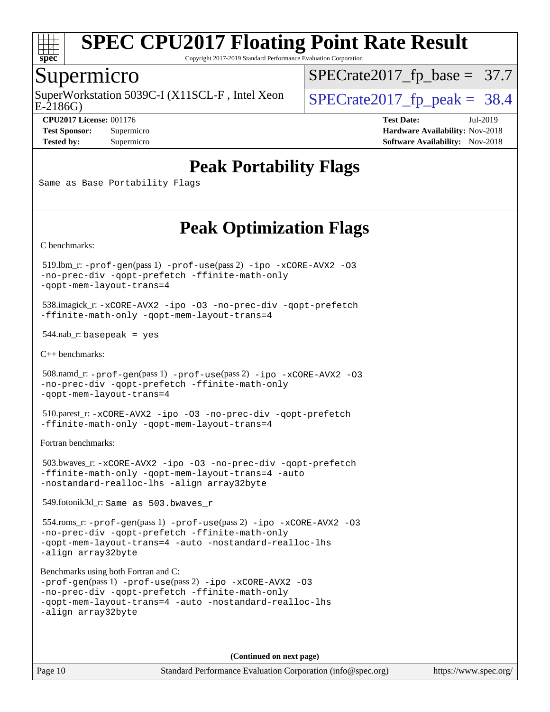

Copyright 2017-2019 Standard Performance Evaluation Corporation

#### Supermicro

E-2186G) SuperWorkstation 5039C-I (X11SCL-F, Intel Xeon  $\big|$  [SPECrate2017\\_fp\\_peak =](http://www.spec.org/auto/cpu2017/Docs/result-fields.html#SPECrate2017fppeak) 38.4

[SPECrate2017\\_fp\\_base =](http://www.spec.org/auto/cpu2017/Docs/result-fields.html#SPECrate2017fpbase) 37.7

**[CPU2017 License:](http://www.spec.org/auto/cpu2017/Docs/result-fields.html#CPU2017License)** 001176 **[Test Date:](http://www.spec.org/auto/cpu2017/Docs/result-fields.html#TestDate)** Jul-2019 **[Test Sponsor:](http://www.spec.org/auto/cpu2017/Docs/result-fields.html#TestSponsor)** Supermicro **[Hardware Availability:](http://www.spec.org/auto/cpu2017/Docs/result-fields.html#HardwareAvailability)** Nov-2018 **[Tested by:](http://www.spec.org/auto/cpu2017/Docs/result-fields.html#Testedby)** Supermicro **Supermicro [Software Availability:](http://www.spec.org/auto/cpu2017/Docs/result-fields.html#SoftwareAvailability)** Nov-2018

## **[Peak Portability Flags](http://www.spec.org/auto/cpu2017/Docs/result-fields.html#PeakPortabilityFlags)**

Same as Base Portability Flags

## **[Peak Optimization Flags](http://www.spec.org/auto/cpu2017/Docs/result-fields.html#PeakOptimizationFlags)**

[C benchmarks](http://www.spec.org/auto/cpu2017/Docs/result-fields.html#Cbenchmarks):

 519.lbm\_r: [-prof-gen](http://www.spec.org/cpu2017/results/res2019q3/cpu2017-20190709-16208.flags.html#user_peakPASS1_CFLAGSPASS1_LDFLAGS519_lbm_r_prof_gen_5aa4926d6013ddb2a31985c654b3eb18169fc0c6952a63635c234f711e6e63dd76e94ad52365559451ec499a2cdb89e4dc58ba4c67ef54ca681ffbe1461d6b36)(pass 1) [-prof-use](http://www.spec.org/cpu2017/results/res2019q3/cpu2017-20190709-16208.flags.html#user_peakPASS2_CFLAGSPASS2_LDFLAGS519_lbm_r_prof_use_1a21ceae95f36a2b53c25747139a6c16ca95bd9def2a207b4f0849963b97e94f5260e30a0c64f4bb623698870e679ca08317ef8150905d41bd88c6f78df73f19)(pass 2) [-ipo](http://www.spec.org/cpu2017/results/res2019q3/cpu2017-20190709-16208.flags.html#user_peakPASS1_COPTIMIZEPASS2_COPTIMIZE519_lbm_r_f-ipo) [-xCORE-AVX2](http://www.spec.org/cpu2017/results/res2019q3/cpu2017-20190709-16208.flags.html#user_peakPASS2_COPTIMIZE519_lbm_r_f-xCORE-AVX2) [-O3](http://www.spec.org/cpu2017/results/res2019q3/cpu2017-20190709-16208.flags.html#user_peakPASS1_COPTIMIZEPASS2_COPTIMIZE519_lbm_r_f-O3) [-no-prec-div](http://www.spec.org/cpu2017/results/res2019q3/cpu2017-20190709-16208.flags.html#user_peakPASS1_COPTIMIZEPASS2_COPTIMIZE519_lbm_r_f-no-prec-div) [-qopt-prefetch](http://www.spec.org/cpu2017/results/res2019q3/cpu2017-20190709-16208.flags.html#user_peakPASS1_COPTIMIZEPASS2_COPTIMIZE519_lbm_r_f-qopt-prefetch) [-ffinite-math-only](http://www.spec.org/cpu2017/results/res2019q3/cpu2017-20190709-16208.flags.html#user_peakPASS1_COPTIMIZEPASS2_COPTIMIZE519_lbm_r_f_finite_math_only_cb91587bd2077682c4b38af759c288ed7c732db004271a9512da14a4f8007909a5f1427ecbf1a0fb78ff2a814402c6114ac565ca162485bbcae155b5e4258871) [-qopt-mem-layout-trans=4](http://www.spec.org/cpu2017/results/res2019q3/cpu2017-20190709-16208.flags.html#user_peakPASS1_COPTIMIZEPASS2_COPTIMIZE519_lbm_r_f-qopt-mem-layout-trans_fa39e755916c150a61361b7846f310bcdf6f04e385ef281cadf3647acec3f0ae266d1a1d22d972a7087a248fd4e6ca390a3634700869573d231a252c784941a8)

 538.imagick\_r: [-xCORE-AVX2](http://www.spec.org/cpu2017/results/res2019q3/cpu2017-20190709-16208.flags.html#user_peakCOPTIMIZE538_imagick_r_f-xCORE-AVX2) [-ipo](http://www.spec.org/cpu2017/results/res2019q3/cpu2017-20190709-16208.flags.html#user_peakCOPTIMIZE538_imagick_r_f-ipo) [-O3](http://www.spec.org/cpu2017/results/res2019q3/cpu2017-20190709-16208.flags.html#user_peakCOPTIMIZE538_imagick_r_f-O3) [-no-prec-div](http://www.spec.org/cpu2017/results/res2019q3/cpu2017-20190709-16208.flags.html#user_peakCOPTIMIZE538_imagick_r_f-no-prec-div) [-qopt-prefetch](http://www.spec.org/cpu2017/results/res2019q3/cpu2017-20190709-16208.flags.html#user_peakCOPTIMIZE538_imagick_r_f-qopt-prefetch) [-ffinite-math-only](http://www.spec.org/cpu2017/results/res2019q3/cpu2017-20190709-16208.flags.html#user_peakCOPTIMIZE538_imagick_r_f_finite_math_only_cb91587bd2077682c4b38af759c288ed7c732db004271a9512da14a4f8007909a5f1427ecbf1a0fb78ff2a814402c6114ac565ca162485bbcae155b5e4258871) [-qopt-mem-layout-trans=4](http://www.spec.org/cpu2017/results/res2019q3/cpu2017-20190709-16208.flags.html#user_peakCOPTIMIZE538_imagick_r_f-qopt-mem-layout-trans_fa39e755916c150a61361b7846f310bcdf6f04e385ef281cadf3647acec3f0ae266d1a1d22d972a7087a248fd4e6ca390a3634700869573d231a252c784941a8)

 $544$ .nab\_r: basepeak = yes

[C++ benchmarks:](http://www.spec.org/auto/cpu2017/Docs/result-fields.html#CXXbenchmarks)

```
 508.namd_r: -prof-gen(pass 1) -prof-use(pass 2) -ipo -xCORE-AVX2 -O3
-no-prec-div -qopt-prefetch -ffinite-math-only
-qopt-mem-layout-trans=4
```
 510.parest\_r: [-xCORE-AVX2](http://www.spec.org/cpu2017/results/res2019q3/cpu2017-20190709-16208.flags.html#user_peakCXXOPTIMIZE510_parest_r_f-xCORE-AVX2) [-ipo](http://www.spec.org/cpu2017/results/res2019q3/cpu2017-20190709-16208.flags.html#user_peakCXXOPTIMIZE510_parest_r_f-ipo) [-O3](http://www.spec.org/cpu2017/results/res2019q3/cpu2017-20190709-16208.flags.html#user_peakCXXOPTIMIZE510_parest_r_f-O3) [-no-prec-div](http://www.spec.org/cpu2017/results/res2019q3/cpu2017-20190709-16208.flags.html#user_peakCXXOPTIMIZE510_parest_r_f-no-prec-div) [-qopt-prefetch](http://www.spec.org/cpu2017/results/res2019q3/cpu2017-20190709-16208.flags.html#user_peakCXXOPTIMIZE510_parest_r_f-qopt-prefetch) [-ffinite-math-only](http://www.spec.org/cpu2017/results/res2019q3/cpu2017-20190709-16208.flags.html#user_peakCXXOPTIMIZE510_parest_r_f_finite_math_only_cb91587bd2077682c4b38af759c288ed7c732db004271a9512da14a4f8007909a5f1427ecbf1a0fb78ff2a814402c6114ac565ca162485bbcae155b5e4258871) [-qopt-mem-layout-trans=4](http://www.spec.org/cpu2017/results/res2019q3/cpu2017-20190709-16208.flags.html#user_peakCXXOPTIMIZE510_parest_r_f-qopt-mem-layout-trans_fa39e755916c150a61361b7846f310bcdf6f04e385ef281cadf3647acec3f0ae266d1a1d22d972a7087a248fd4e6ca390a3634700869573d231a252c784941a8)

[Fortran benchmarks](http://www.spec.org/auto/cpu2017/Docs/result-fields.html#Fortranbenchmarks):

 503.bwaves\_r: [-xCORE-AVX2](http://www.spec.org/cpu2017/results/res2019q3/cpu2017-20190709-16208.flags.html#user_peakFOPTIMIZE503_bwaves_r_f-xCORE-AVX2) [-ipo](http://www.spec.org/cpu2017/results/res2019q3/cpu2017-20190709-16208.flags.html#user_peakFOPTIMIZE503_bwaves_r_f-ipo) [-O3](http://www.spec.org/cpu2017/results/res2019q3/cpu2017-20190709-16208.flags.html#user_peakFOPTIMIZE503_bwaves_r_f-O3) [-no-prec-div](http://www.spec.org/cpu2017/results/res2019q3/cpu2017-20190709-16208.flags.html#user_peakFOPTIMIZE503_bwaves_r_f-no-prec-div) [-qopt-prefetch](http://www.spec.org/cpu2017/results/res2019q3/cpu2017-20190709-16208.flags.html#user_peakFOPTIMIZE503_bwaves_r_f-qopt-prefetch) [-ffinite-math-only](http://www.spec.org/cpu2017/results/res2019q3/cpu2017-20190709-16208.flags.html#user_peakFOPTIMIZE503_bwaves_r_f_finite_math_only_cb91587bd2077682c4b38af759c288ed7c732db004271a9512da14a4f8007909a5f1427ecbf1a0fb78ff2a814402c6114ac565ca162485bbcae155b5e4258871) [-qopt-mem-layout-trans=4](http://www.spec.org/cpu2017/results/res2019q3/cpu2017-20190709-16208.flags.html#user_peakFOPTIMIZE503_bwaves_r_f-qopt-mem-layout-trans_fa39e755916c150a61361b7846f310bcdf6f04e385ef281cadf3647acec3f0ae266d1a1d22d972a7087a248fd4e6ca390a3634700869573d231a252c784941a8) [-auto](http://www.spec.org/cpu2017/results/res2019q3/cpu2017-20190709-16208.flags.html#user_peakFOPTIMIZE503_bwaves_r_f-auto) [-nostandard-realloc-lhs](http://www.spec.org/cpu2017/results/res2019q3/cpu2017-20190709-16208.flags.html#user_peakEXTRA_FOPTIMIZE503_bwaves_r_f_2003_std_realloc_82b4557e90729c0f113870c07e44d33d6f5a304b4f63d4c15d2d0f1fab99f5daaed73bdb9275d9ae411527f28b936061aa8b9c8f2d63842963b95c9dd6426b8a) [-align array32byte](http://www.spec.org/cpu2017/results/res2019q3/cpu2017-20190709-16208.flags.html#user_peakEXTRA_FOPTIMIZE503_bwaves_r_align_array32byte_b982fe038af199962ba9a80c053b8342c548c85b40b8e86eb3cc33dee0d7986a4af373ac2d51c3f7cf710a18d62fdce2948f201cd044323541f22fc0fffc51b6)

549.fotonik3d\_r: Same as 503.bwaves\_r

 554.roms\_r: [-prof-gen](http://www.spec.org/cpu2017/results/res2019q3/cpu2017-20190709-16208.flags.html#user_peakPASS1_FFLAGSPASS1_LDFLAGS554_roms_r_prof_gen_5aa4926d6013ddb2a31985c654b3eb18169fc0c6952a63635c234f711e6e63dd76e94ad52365559451ec499a2cdb89e4dc58ba4c67ef54ca681ffbe1461d6b36)(pass 1) [-prof-use](http://www.spec.org/cpu2017/results/res2019q3/cpu2017-20190709-16208.flags.html#user_peakPASS2_FFLAGSPASS2_LDFLAGS554_roms_r_prof_use_1a21ceae95f36a2b53c25747139a6c16ca95bd9def2a207b4f0849963b97e94f5260e30a0c64f4bb623698870e679ca08317ef8150905d41bd88c6f78df73f19)(pass 2) [-ipo](http://www.spec.org/cpu2017/results/res2019q3/cpu2017-20190709-16208.flags.html#user_peakPASS1_FOPTIMIZEPASS2_FOPTIMIZE554_roms_r_f-ipo) [-xCORE-AVX2](http://www.spec.org/cpu2017/results/res2019q3/cpu2017-20190709-16208.flags.html#user_peakPASS2_FOPTIMIZE554_roms_r_f-xCORE-AVX2) [-O3](http://www.spec.org/cpu2017/results/res2019q3/cpu2017-20190709-16208.flags.html#user_peakPASS1_FOPTIMIZEPASS2_FOPTIMIZE554_roms_r_f-O3) [-no-prec-div](http://www.spec.org/cpu2017/results/res2019q3/cpu2017-20190709-16208.flags.html#user_peakPASS1_FOPTIMIZEPASS2_FOPTIMIZE554_roms_r_f-no-prec-div) [-qopt-prefetch](http://www.spec.org/cpu2017/results/res2019q3/cpu2017-20190709-16208.flags.html#user_peakPASS1_FOPTIMIZEPASS2_FOPTIMIZE554_roms_r_f-qopt-prefetch) [-ffinite-math-only](http://www.spec.org/cpu2017/results/res2019q3/cpu2017-20190709-16208.flags.html#user_peakPASS1_FOPTIMIZEPASS2_FOPTIMIZE554_roms_r_f_finite_math_only_cb91587bd2077682c4b38af759c288ed7c732db004271a9512da14a4f8007909a5f1427ecbf1a0fb78ff2a814402c6114ac565ca162485bbcae155b5e4258871) [-qopt-mem-layout-trans=4](http://www.spec.org/cpu2017/results/res2019q3/cpu2017-20190709-16208.flags.html#user_peakPASS1_FOPTIMIZEPASS2_FOPTIMIZE554_roms_r_f-qopt-mem-layout-trans_fa39e755916c150a61361b7846f310bcdf6f04e385ef281cadf3647acec3f0ae266d1a1d22d972a7087a248fd4e6ca390a3634700869573d231a252c784941a8) [-auto](http://www.spec.org/cpu2017/results/res2019q3/cpu2017-20190709-16208.flags.html#user_peakPASS2_FOPTIMIZE554_roms_r_f-auto) [-nostandard-realloc-lhs](http://www.spec.org/cpu2017/results/res2019q3/cpu2017-20190709-16208.flags.html#user_peakEXTRA_FOPTIMIZE554_roms_r_f_2003_std_realloc_82b4557e90729c0f113870c07e44d33d6f5a304b4f63d4c15d2d0f1fab99f5daaed73bdb9275d9ae411527f28b936061aa8b9c8f2d63842963b95c9dd6426b8a) [-align array32byte](http://www.spec.org/cpu2017/results/res2019q3/cpu2017-20190709-16208.flags.html#user_peakEXTRA_FOPTIMIZE554_roms_r_align_array32byte_b982fe038af199962ba9a80c053b8342c548c85b40b8e86eb3cc33dee0d7986a4af373ac2d51c3f7cf710a18d62fdce2948f201cd044323541f22fc0fffc51b6)

[Benchmarks using both Fortran and C](http://www.spec.org/auto/cpu2017/Docs/result-fields.html#BenchmarksusingbothFortranandC):

```
-prof-gen(pass 1) -prof-use(pass 2) -ipo -xCORE-AVX2 -O3
-no-prec-div -qopt-prefetch -ffinite-math-only
-qopt-mem-layout-trans=4 -auto -nostandard-realloc-lhs
-align array32byte
```
**(Continued on next page)**